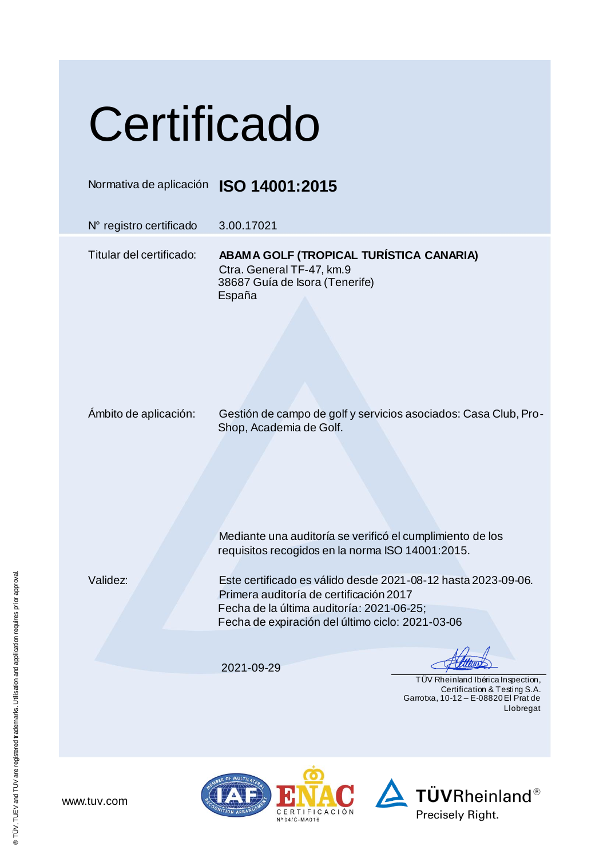## **Certificado**

Normativa de aplicación **ISO 14001:2015**

N° registro certificado 3.00.17021

Titular del certificado: **ABAMA GOLF (TROPICAL TURÍSTICA CANARIA)** Ctra. General TF-47, km.9 38687 Guía de Isora (Tenerife) España

Ámbito de aplicación: Gestión de campo de golf y servicios asociados: Casa Club, Pro-Shop, Academia de Golf.

Mediante una auditoría se verificó el cumplimiento de los requisitos recogidos en la norma ISO 14001:2015.

Validez: Este certificado es válido desde 2021-08-12 hasta 2023-09-06. Primera auditoría de certificación 2017 Fecha de la última auditoría: 2021-06-25; Fecha de expiración del último ciclo: 2021-03-06

2021-09-29

 TÜV Rheinland Ibérica Inspection, Certification & Testing S.A. Garrotxa, 10-12 – E-08820 El Prat de Llobregat





www.tuv.com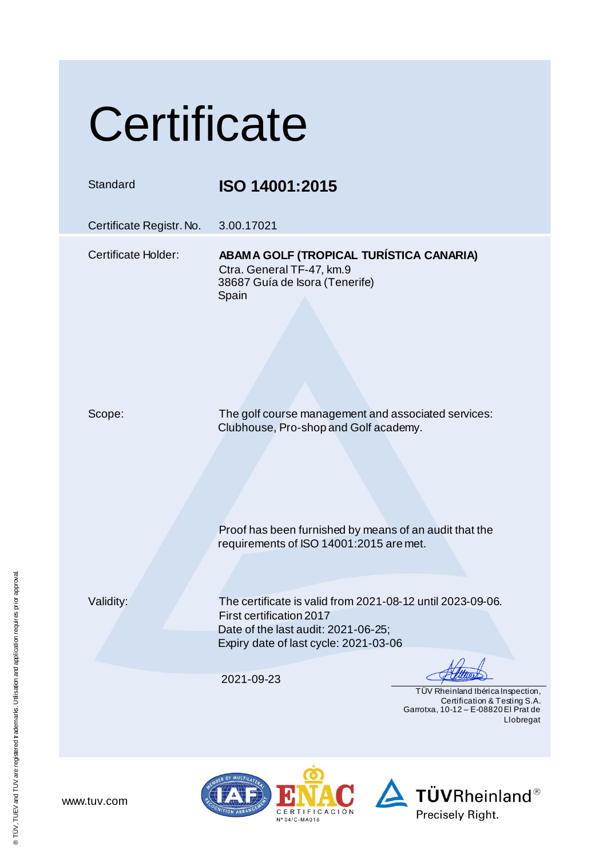## **Certificate**

## Standard **ISO 14001:2015**

Certificate Registr. No. 3.00.17021

Certificate Holder: **ABAMA GOLF (TROPICAL TURÍSTICA CANARIA)** Ctra. General TF-47, km.9 38687 Guía de Isora (Tenerife) **Spain** 

Scope: The golf course management and associated services: Clubhouse, Pro-shop and Golf academy.

Proof has been furnished by means of an audit that the

requirements of ISO 14001:2015 are met.

Validity: The certificate is valid from 2021-08-12 until 2023-09-06. First certification 2017 Date of the last audit: 2021-06-25; Expiry date of last cycle: 2021-03-06

2021-09-23

 TÜV Rheinland Ibérica Inspection, Certification & Testing S.A. Garrotxa, 10-12 – E-08820 El Prat de Llobregat